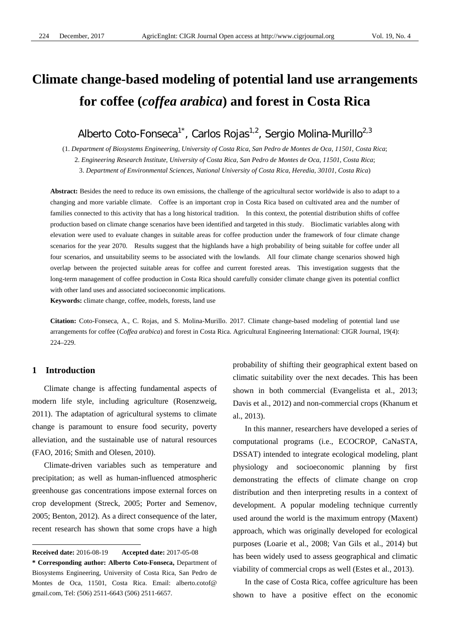# **Climate change-based modeling of potential land use arrangements for coffee (***coffea arabica***) and forest in Costa Rica**

Alberto Coto-Fonseca<sup>1\*</sup>, Carlos Rojas<sup>1,2</sup>, Sergio Molina-Murillo<sup>2,3</sup>

(1. *Department of Biosystems Engineering, University of Costa Rica, San Pedro de Montes de Oca, 11501, Costa Rica*; 2. *Engineering Research Institute, University of Costa Rica, San Pedro de Montes de Oca, 11501, Costa Rica*; 3. *Department of Environmental Sciences, National University of Costa Rica, Heredia, 30101, Costa Rica*)

Abstract: Besides the need to reduce its own emissions, the challenge of the agricultural sector worldwide is also to adapt to a changing and more variable climate. Coffee is an important crop in Costa Rica based on cultivated area and the number of families connected to this activity that has a long historical tradition. In this context, the potential distribution shifts of coffee production based on climate change scenarios have been identified and targeted in this study. Bioclimatic variables along with elevation were used to evaluate changes in suitable areas for coffee production under the framework of four climate change scenarios for the year 2070. Results suggest that the highlands have a high probability of being suitable for coffee under all four scenarios, and unsuitability seems to be associated with the lowlands. All four climate change scenarios showed high overlap between the projected suitable areas for coffee and current forested areas. This investigation suggests that the long-term management of coffee production in Costa Rica should carefully consider climate change given its potential conflict with other land uses and associated socioeconomic implications.

**Keywords:** climate change, coffee, models, forests, land use

**Citation:** Coto-Fonseca, A., C. Rojas, and S. Molina-Murillo. 2017. Climate change-based modeling of potential land use arrangements for coffee (*Coffea arabica*) and forest in Costa Rica. Agricultural Engineering International: CIGR Journal, 19(4): 224–229.

## **1 Introduction**

 $\overline{a}$ 

Climate change is affecting fundamental aspects of modern life style, including agriculture (Rosenzweig, 2011). The adaptation of agricultural systems to climate change is paramount to ensure food security, poverty alleviation, and the sustainable use of natural resources (FAO, 2016; Smith and Olesen, 2010).

Climate-driven variables such as temperature and precipitation; as well as human-influenced atmospheric greenhouse gas concentrations impose external forces on crop development (Streck, 2005; Porter and Semenov, 2005; Benton, 2012). As a direct consequence of the later, recent research has shown that some crops have a high probability of shifting their geographical extent based on climatic suitability over the next decades. This has been shown in both commercial (Evangelista et al., 2013; Davis et al., 2012) and non-commercial crops (Khanum et al., 2013).

In this manner, researchers have developed a series of computational programs (i.e., ECOCROP, CaNaSTA, DSSAT) intended to integrate ecological modeling, plant physiology and socioeconomic planning by first demonstrating the effects of climate change on crop distribution and then interpreting results in a context of development. A popular modeling technique currently used around the world is the maximum entropy (Maxent) approach, which was originally developed for ecological purposes (Loarie et al., 2008; Van Gils et al., 2014) but has been widely used to assess geographical and climatic viability of commercial crops as well (Estes et al., 2013).

In the case of Costa Rica, coffee agriculture has been shown to have a positive effect on the economic

**Received date:** 2016-08-19 **Accepted date:** 2017-05-08

**<sup>\*</sup> Corresponding author: Alberto Coto-Fonseca,** Department of Biosystems Engineering, University of Costa Rica, San Pedro de Montes de Oca, 11501, Costa Rica. Email: alberto.cotof@ gmail.com, Tel: (506) 2511-6643 (506) 2511-6657.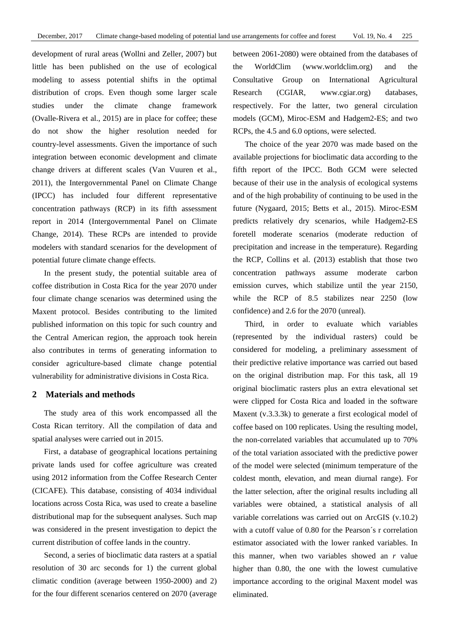development of rural areas (Wollni and Zeller, 2007) but little has been published on the use of ecological modeling to assess potential shifts in the optimal distribution of crops. Even though some larger scale studies under the climate change framework (Ovalle-Rivera et al., 2015) are in place for coffee; these do not show the higher resolution needed for country-level assessments. Given the importance of such integration between economic development and climate change drivers at different scales (Van Vuuren et al., 2011), the Intergovernmental Panel on Climate Change (IPCC) has included four different representative concentration pathways (RCP) in its fifth assessment report in 2014 (Intergovernmental Panel on Climate Change, 2014). These RCPs are intended to provide modelers with standard scenarios for the development of potential future climate change effects.

In the present study, the potential suitable area of coffee distribution in Costa Rica for the year 2070 under four climate change scenarios was determined using the Maxent protocol. Besides contributing to the limited published information on this topic for such country and the Central American region, the approach took herein also contributes in terms of generating information to consider agriculture-based climate change potential vulnerability for administrative divisions in Costa Rica.

### **2 Materials and methods**

The study area of this work encompassed all the Costa Rican territory. All the compilation of data and spatial analyses were carried out in 2015.

First, a database of geographical locations pertaining private lands used for coffee agriculture was created using 2012 information from the Coffee Research Center (CICAFE). This database, consisting of 4034 individual locations across Costa Rica, was used to create a baseline distributional map for the subsequent analyses. Such map was considered in the present investigation to depict the current distribution of coffee lands in the country.

Second, a series of bioclimatic data rasters at a spatial resolution of 30 arc seconds for 1) the current global climatic condition (average between 1950-2000) and 2) for the four different scenarios centered on 2070 (average between 2061-2080) were obtained from the databases of the WorldClim (www.worldclim.org) and the Consultative Group on International Agricultural Research (CGIAR, www.cgiar.org) databases, respectively. For the latter, two general circulation models (GCM), Miroc-ESM and Hadgem2-ES; and two RCPs, the 4.5 and 6.0 options, were selected.

The choice of the year 2070 was made based on the available projections for bioclimatic data according to the fifth report of the IPCC. Both GCM were selected because of their use in the analysis of ecological systems and of the high probability of continuing to be used in the future (Nygaard, 2015; Betts et al., 2015). Miroc-ESM predicts relatively dry scenarios, while Hadgem2-ES foretell moderate scenarios (moderate reduction of precipitation and increase in the temperature). Regarding the RCP, Collins et al. (2013) establish that those two concentration pathways assume moderate carbon emission curves, which stabilize until the year 2150, while the RCP of 8.5 stabilizes near 2250 (low confidence) and 2.6 for the 2070 (unreal).

Third, in order to evaluate which variables (represented by the individual rasters) could be considered for modeling, a preliminary assessment of their predictive relative importance was carried out based on the original distribution map. For this task, all 19 original bioclimatic rasters plus an extra elevational set were clipped for Costa Rica and loaded in the software Maxent (v.3.3.3k) to generate a first ecological model of coffee based on 100 replicates. Using the resulting model, the non-correlated variables that accumulated up to 70% of the total variation associated with the predictive power of the model were selected (minimum temperature of the coldest month, elevation, and mean diurnal range). For the latter selection, after the original results including all variables were obtained, a statistical analysis of all variable correlations was carried out on ArcGIS (v.10.2) with a cutoff value of 0.80 for the Pearson´s r correlation estimator associated with the lower ranked variables. In this manner, when two variables showed an *r* value higher than 0.80, the one with the lowest cumulative importance according to the original Maxent model was eliminated.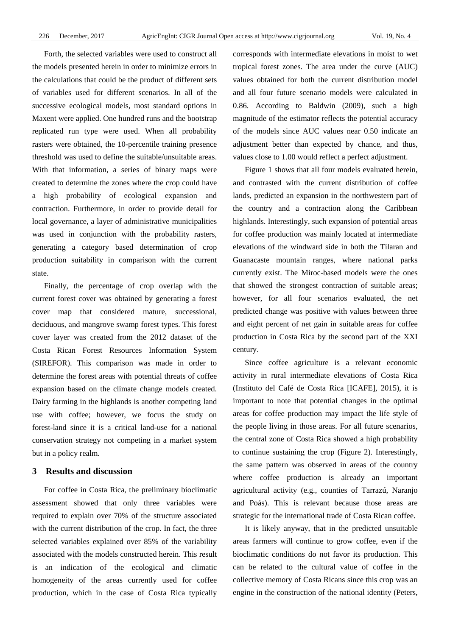Forth, the selected variables were used to construct all the models presented herein in order to minimize errors in the calculations that could be the product of different sets of variables used for different scenarios. In all of the successive ecological models, most standard options in Maxent were applied. One hundred runs and the bootstrap replicated run type were used. When all probability rasters were obtained, the 10-percentile training presence threshold was used to define the suitable/unsuitable areas. With that information, a series of binary maps were created to determine the zones where the crop could have a high probability of ecological expansion and contraction. Furthermore, in order to provide detail for local governance, a layer of administrative municipalities was used in conjunction with the probability rasters, generating a category based determination of crop production suitability in comparison with the current state.

Finally, the percentage of crop overlap with the current forest cover was obtained by generating a forest cover map that considered mature, successional, deciduous, and mangrove swamp forest types. This forest cover layer was created from the 2012 dataset of the Costa Rican Forest Resources Information System (SIREFOR). This comparison was made in order to determine the forest areas with potential threats of coffee expansion based on the climate change models created. Dairy farming in the highlands is another competing land use with coffee; however, we focus the study on forest-land since it is a critical land-use for a national conservation strategy not competing in a market system but in a policy realm.

### **3 Results and discussion**

For coffee in Costa Rica, the preliminary bioclimatic assessment showed that only three variables were required to explain over 70% of the structure associated with the current distribution of the crop. In fact, the three selected variables explained over 85% of the variability associated with the models constructed herein. This result is an indication of the ecological and climatic homogeneity of the areas currently used for coffee production, which in the case of Costa Rica typically

corresponds with intermediate elevations in moist to wet tropical forest zones. The area under the curve (AUC) values obtained for both the current distribution model and all four future scenario models were calculated in 0.86. According to Baldwin (2009), such a high magnitude of the estimator reflects the potential accuracy of the models since AUC values near 0.50 indicate an adjustment better than expected by chance, and thus, values close to 1.00 would reflect a perfect adjustment.

Figure 1 shows that all four models evaluated herein, and contrasted with the current distribution of coffee lands, predicted an expansion in the northwestern part of the country and a contraction along the Caribbean highlands. Interestingly, such expansion of potential areas for coffee production was mainly located at intermediate elevations of the windward side in both the Tilaran and Guanacaste mountain ranges, where national parks currently exist. The Miroc-based models were the ones that showed the strongest contraction of suitable areas; however, for all four scenarios evaluated, the net predicted change was positive with values between three and eight percent of net gain in suitable areas for coffee production in Costa Rica by the second part of the XXI century.

Since coffee agriculture is a relevant economic activity in rural intermediate elevations of Costa Rica (Instituto del Café de Costa Rica [ICAFE], 2015), it is important to note that potential changes in the optimal areas for coffee production may impact the life style of the people living in those areas. For all future scenarios, the central zone of Costa Rica showed a high probability to continue sustaining the crop (Figure 2). Interestingly, the same pattern was observed in areas of the country where coffee production is already an important agricultural activity (e.g., counties of Tarrazú, Naranjo and Poás). This is relevant because those areas are strategic for the international trade of Costa Rican coffee.

It is likely anyway, that in the predicted unsuitable areas farmers will continue to grow coffee, even if the bioclimatic conditions do not favor its production. This can be related to the cultural value of coffee in the collective memory of Costa Ricans since this crop was an engine in the construction of the national identity (Peters,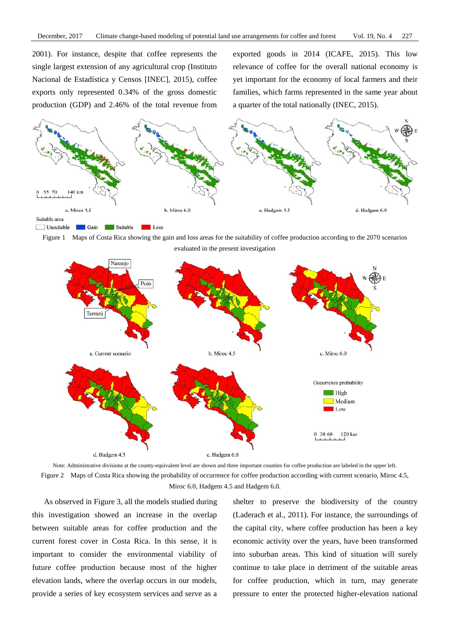2001). For instance, despite that coffee represents the single largest extension of any agricultural crop (Instituto Nacional de Estadística y Censos [INEC], 2015), coffee exports only represented 0.34% of the gross domestic production (GDP) and 2.46% of the total revenue from exported goods in 2014 (ICAFE, 2015). This low relevance of coffee for the overall national economy is yet important for the economy of local farmers and their families, which farms represented in the same year about a quarter of the total nationally (INEC, 2015).











As observed in Figure 3, all the models studied during this investigation showed an increase in the overlap between suitable areas for coffee production and the current forest cover in Costa Rica. In this sense, it is important to consider the environmental viability of future coffee production because most of the higher elevation lands, where the overlap occurs in our models, provide a series of key ecosystem services and serve as a shelter to preserve the biodiversity of the country (Laderach et al., 2011). For instance, the surroundings of the capital city, where coffee production has been a key economic activity over the years, have been transformed into suburban areas. This kind of situation will surely continue to take place in detriment of the suitable areas for coffee production, which in turn, may generate pressure to enter the protected higher-elevation national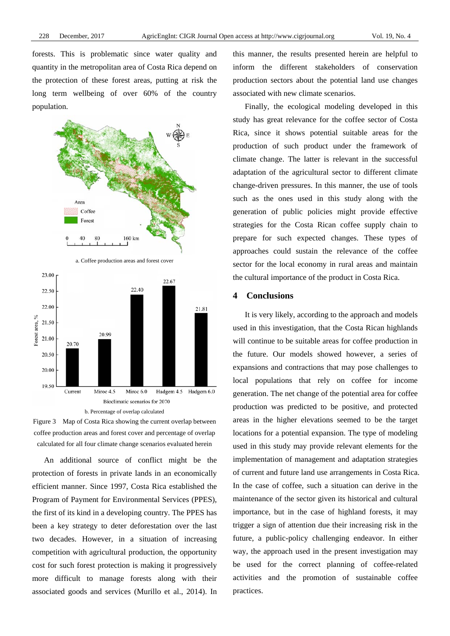forests. This is problematic since water quality and quantity in the metropolitan area of Costa Rica depend on the protection of these forest areas, putting at risk the long term wellbeing of over 60% of the country population.









An additional source of conflict might be the protection of forests in private lands in an economically efficient manner. Since 1997, Costa Rica established the Program of Payment for Environmental Services (PPES), the first of its kind in a developing country. The PPES has been a key strategy to deter deforestation over the last two decades. However, in a situation of increasing competition with agricultural production, the opportunity cost for such forest protection is making it progressively more difficult to manage forests along with their associated goods and services (Murillo et al., 2014). In this manner, the results presented herein are helpful to inform the different stakeholders of conservation production sectors about the potential land use changes associated with new climate scenarios.

Finally, the ecological modeling developed in this study has great relevance for the coffee sector of Costa Rica, since it shows potential suitable areas for the production of such product under the framework of climate change. The latter is relevant in the successful adaptation of the agricultural sector to different climate change-driven pressures. In this manner, the use of tools such as the ones used in this study along with the generation of public policies might provide effective strategies for the Costa Rican coffee supply chain to prepare for such expected changes. These types of approaches could sustain the relevance of the coffee sector for the local economy in rural areas and maintain the cultural importance of the product in Costa Rica.

## **4 Conclusions**

It is very likely, according to the approach and models used in this investigation, that the Costa Rican highlands will continue to be suitable areas for coffee production in the future. Our models showed however, a series of expansions and contractions that may pose challenges to local populations that rely on coffee for income generation. The net change of the potential area for coffee production was predicted to be positive, and protected areas in the higher elevations seemed to be the target locations for a potential expansion. The type of modeling used in this study may provide relevant elements for the implementation of management and adaptation strategies of current and future land use arrangements in Costa Rica. In the case of coffee, such a situation can derive in the maintenance of the sector given its historical and cultural importance, but in the case of highland forests, it may trigger a sign of attention due their increasing risk in the future, a public-policy challenging endeavor. In either way, the approach used in the present investigation may be used for the correct planning of coffee-related activities and the promotion of sustainable coffee practices.